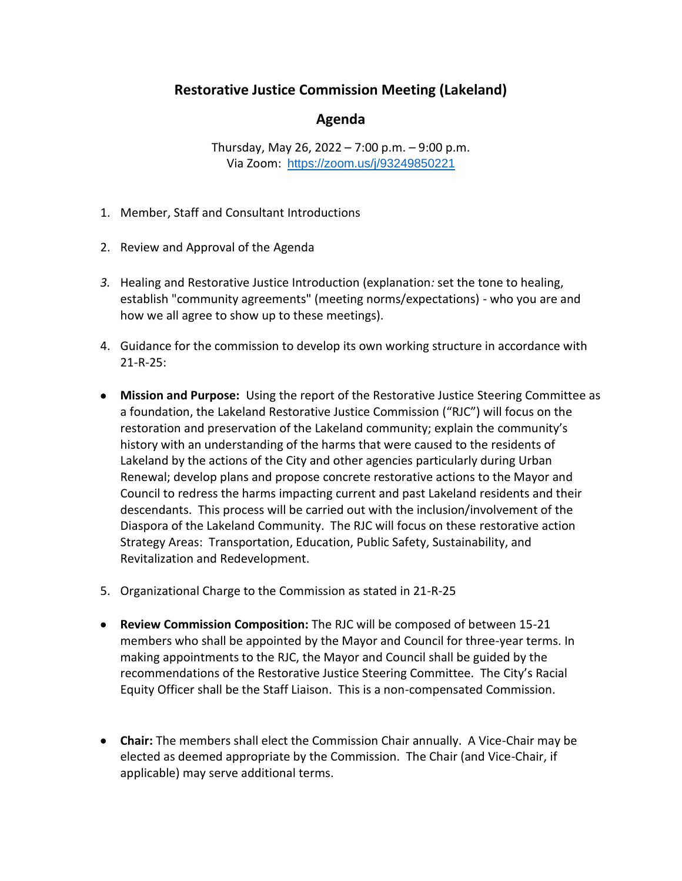## **Restorative Justice Commission Meeting (Lakeland)**

## **Agenda**

Thursday, May 26, 2022 – 7:00 p.m. – 9:00 p.m. Via Zoom: <https://zoom.us/j/93249850221>

- 1. Member, Staff and Consultant Introductions
- 2. Review and Approval of the Agenda
- *3.* Healing and Restorative Justice Introduction (explanation*:* set the tone to healing, establish "community agreements" (meeting norms/expectations) - who you are and how we all agree to show up to these meetings).
- 4. Guidance for the commission to develop its own working structure in accordance with 21-R-25:
- **Mission and Purpose:** Using the report of the Restorative Justice Steering Committee as a foundation, the Lakeland Restorative Justice Commission ("RJC") will focus on the restoration and preservation of the Lakeland community; explain the community's history with an understanding of the harms that were caused to the residents of Lakeland by the actions of the City and other agencies particularly during Urban Renewal; develop plans and propose concrete restorative actions to the Mayor and Council to redress the harms impacting current and past Lakeland residents and their descendants. This process will be carried out with the inclusion/involvement of the Diaspora of the Lakeland Community. The RJC will focus on these restorative action Strategy Areas: Transportation, Education, Public Safety, Sustainability, and Revitalization and Redevelopment.
- 5. Organizational Charge to the Commission as stated in 21-R-25
- **Review Commission Composition:** The RJC will be composed of between 15-21 members who shall be appointed by the Mayor and Council for three-year terms. In making appointments to the RJC, the Mayor and Council shall be guided by the recommendations of the Restorative Justice Steering Committee. The City's Racial Equity Officer shall be the Staff Liaison. This is a non-compensated Commission.
- **Chair:** The members shall elect the Commission Chair annually. A Vice-Chair may be elected as deemed appropriate by the Commission. The Chair (and Vice-Chair, if applicable) may serve additional terms.